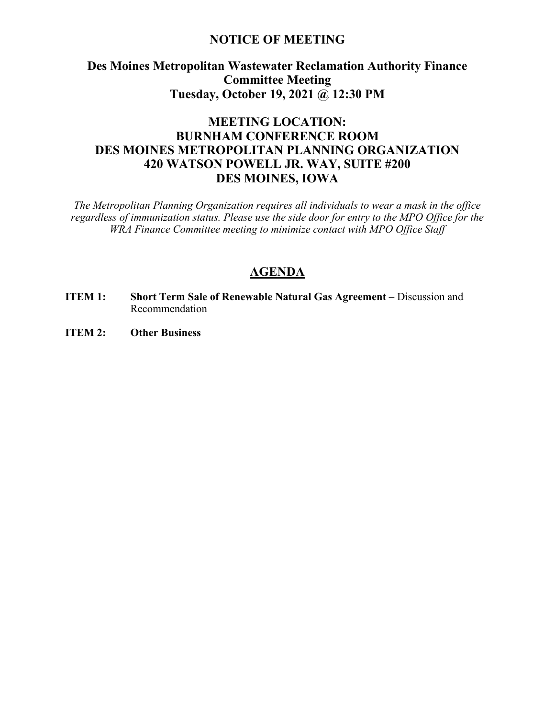#### **NOTICE OF MEETING**

# **Des Moines Metropolitan Wastewater Reclamation Authority Finance Committee Meeting Tuesday, October 19, 2021 @ 12:30 PM**

# **MEETING LOCATION: BURNHAM CONFERENCE ROOM DES MOINES METROPOLITAN PLANNING ORGANIZATION 420 WATSON POWELL JR. WAY, SUITE #200 DES MOINES, IOWA**

*The Metropolitan Planning Organization requires all individuals to wear a mask in the office regardless of immunization status. Please use the side door for entry to the MPO Office for the WRA Finance Committee meeting to minimize contact with MPO Office Staff*

## **AGENDA**

- **ITEM 1: Short Term Sale of Renewable Natural Gas Agreement** Discussion and Recommendation
- **ITEM 2: Other Business**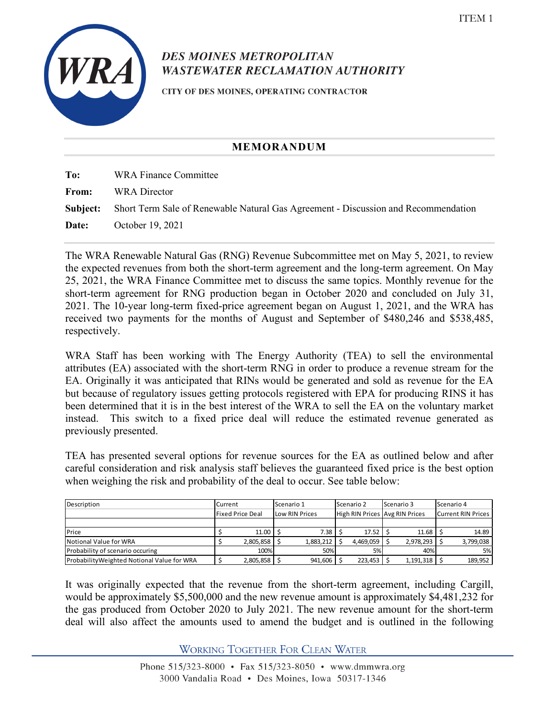

# **DES MOINES METROPOLITAN WASTEWATER RECLAMATION AUTHORITY**

CITY OF DES MOINES, OPERATING CONTRACTOR

#### **MEMORANDUM**

| To:   | <b>WRA Finance Committee</b>                                                                       |
|-------|----------------------------------------------------------------------------------------------------|
| From: | <b>WRA</b> Director                                                                                |
|       | <b>Subject:</b> Short Term Sale of Renewable Natural Gas Agreement - Discussion and Recommendation |
| Date: | October 19, 2021                                                                                   |

The WRA Renewable Natural Gas (RNG) Revenue Subcommittee met on May 5, 2021, to review the expected revenues from both the short-term agreement and the long-term agreement. On May 25, 2021, the WRA Finance Committee met to discuss the same topics. Monthly revenue for the short-term agreement for RNG production began in October 2020 and concluded on July 31, 2021. The 10-year long-term fixed-price agreement began on August 1, 2021, and the WRA has received two payments for the months of August and September of \$480,246 and \$538,485, respectively.

WRA Staff has been working with The Energy Authority (TEA) to sell the environmental attributes (EA) associated with the short-term RNG in order to produce a revenue stream for the EA. Originally it was anticipated that RINs would be generated and sold as revenue for the EA but because of regulatory issues getting protocols registered with EPA for producing RINS it has been determined that it is in the best interest of the WRA to sell the EA on the voluntary market instead. This switch to a fixed price deal will reduce the estimated revenue generated as previously presented.

TEA has presented several options for revenue sources for the EA as outlined below and after careful consideration and risk analysis staff believes the guaranteed fixed price is the best option when weighing the risk and probability of the deal to occur. See table below:

| Description                                 |                         | Current   |                | Scenario 1 |                                | Scenario 2 |  | Scenario 3 |                           | Scenario 4 |  |
|---------------------------------------------|-------------------------|-----------|----------------|------------|--------------------------------|------------|--|------------|---------------------------|------------|--|
|                                             | <b>Fixed Price Deal</b> |           | Low RIN Prices |            | High RIN Prices Avg RIN Prices |            |  |            | <b>Current RIN Prices</b> |            |  |
|                                             |                         |           |                |            |                                |            |  |            |                           |            |  |
| <b>IPrice</b>                               |                         | 11.00     |                | 7.38       |                                | $17.52$ S  |  | 11.68      |                           | 14.89      |  |
| Notional Value for WRA                      |                         | 2,805,858 |                | 1,883,212  |                                | 4,469,059  |  | 2,978,293  |                           | 3,799,038  |  |
| Probability of scenario occuring            |                         | 100%      |                | 50%        |                                | 5%         |  | 40%        |                           | 5%         |  |
| Probability Weighted Notional Value for WRA |                         | 2,805,858 |                | 941,606    |                                | 223,453    |  | 1,191,318  |                           | 189,952    |  |

It was originally expected that the revenue from the short-term agreement, including Cargill, would be approximately \$5,500,000 and the new revenue amount is approximately \$4,481,232 for the gas produced from October 2020 to July 2021. The new revenue amount for the short-term deal will also affect the amounts used to amend the budget and is outlined in the following

**WORKING TOGETHER FOR CLEAN WATER**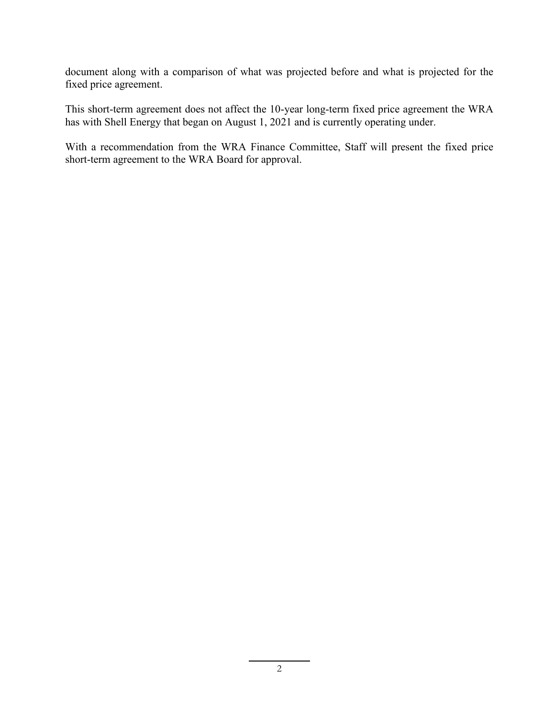document along with a comparison of what was projected before and what is projected for the fixed price agreement.

This short-term agreement does not affect the 10-year long-term fixed price agreement the WRA has with Shell Energy that began on August 1, 2021 and is currently operating under.

With a recommendation from the WRA Finance Committee, Staff will present the fixed price short-term agreement to the WRA Board for approval.